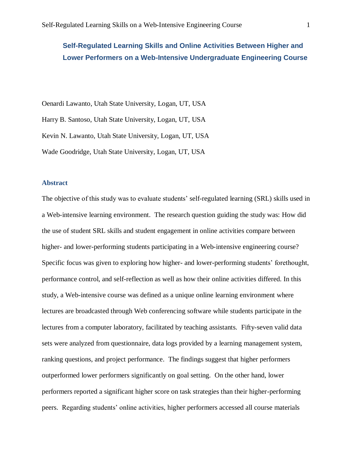# **Self-Regulated Learning Skills and Online Activities Between Higher and Lower Performers on a Web-Intensive Undergraduate Engineering Course**

Oenardi Lawanto, Utah State University, Logan, UT, USA Harry B. Santoso, Utah State University, Logan, UT, USA Kevin N. Lawanto, Utah State University, Logan, UT, USA Wade Goodridge, Utah State University, Logan, UT, USA

# **Abstract**

The objective of this study was to evaluate students' self-regulated learning (SRL) skills used in a Web-intensive learning environment. The research question guiding the study was: How did the use of student SRL skills and student engagement in online activities compare between higher- and lower-performing students participating in a Web-intensive engineering course? Specific focus was given to exploring how higher- and lower-performing students' forethought, performance control, and self-reflection as well as how their online activities differed. In this study, a Web-intensive course was defined as a unique online learning environment where lectures are broadcasted through Web conferencing software while students participate in the lectures from a computer laboratory, facilitated by teaching assistants. Fifty-seven valid data sets were analyzed from questionnaire, data logs provided by a learning management system, ranking questions, and project performance. The findings suggest that higher performers outperformed lower performers significantly on goal setting. On the other hand, lower performers reported a significant higher score on task strategies than their higher-performing peers. Regarding students' online activities, higher performers accessed all course materials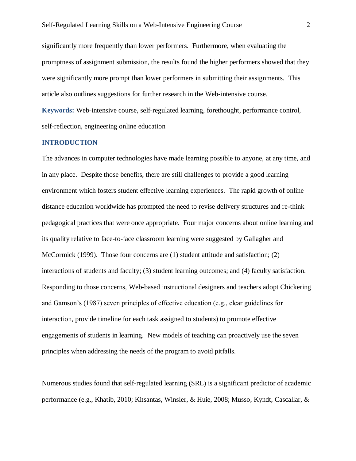significantly more frequently than lower performers. Furthermore, when evaluating the promptness of assignment submission, the results found the higher performers showed that they were significantly more prompt than lower performers in submitting their assignments. This article also outlines suggestions for further research in the Web-intensive course.

**Keywords:** Web-intensive course, self-regulated learning, forethought, performance control, self-reflection, engineering online education

#### **INTRODUCTION**

The advances in computer technologies have made learning possible to anyone, at any time, and in any place. Despite those benefits, there are still challenges to provide a good learning environment which fosters student effective learning experiences. The rapid growth of online distance education worldwide has prompted the need to revise delivery structures and re-think pedagogical practices that were once appropriate. Four major concerns about online learning and its quality relative to face-to-face classroom learning were suggested by Gallagher and McCormick (1999). Those four concerns are (1) student attitude and satisfaction; (2) interactions of students and faculty; (3) student learning outcomes; and (4) faculty satisfaction. Responding to those concerns, Web-based instructional designers and teachers adopt Chickering and Gamson's (1987) seven principles of effective education (e.g., clear guidelines for interaction, provide timeline for each task assigned to students) to promote effective engagements of students in learning. New models of teaching can proactively use the seven principles when addressing the needs of the program to avoid pitfalls.

Numerous studies found that self-regulated learning (SRL) is a significant predictor of academic performance (e.g., Khatib, 2010; Kitsantas, Winsler, & Huie, 2008; Musso, Kyndt, Cascallar, &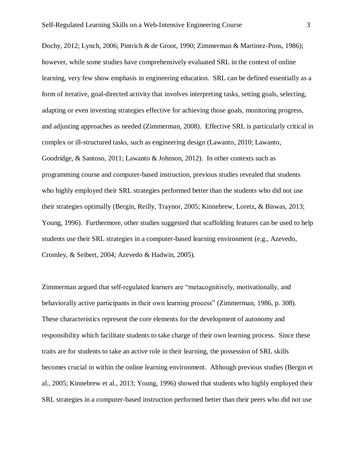Dochy, 2012; Lynch, 2006; Pintrich & de Groot, 1990; Zimmerman & Martinez-Pons, 1986); however, while some studies have comprehensively evaluated SRL in the context of online learning, very few show emphasis in engineering education. SRL can be defined essentially as a form of iterative, goal-directed activity that involves interpreting tasks, setting goals, selecting, adapting or even inventing strategies effective for achieving those goals, monitoring progress, and adjusting approaches as needed (Zimmerman, 2008). Effective SRL is particularly critical in complex or ill-structured tasks, such as engineering design (Lawanto, 2010; Lawanto, Goodridge, & Santoso, 2011; Lawanto & Johnson, 2012). In other contexts such as programming course and computer-based instruction, previous studies revealed that students who highly employed their SRL strategies performed better than the students who did not use their strategies optimally (Bergin, Reilly, Traynor, 2005; Kinnebrew, Loretz, & Biswas, 2013; Young, 1996). Furthermore, other studies suggested that scaffolding features can be used to help students use their SRL strategies in a computer-based learning environment (e.g., Azevedo, Cromley, & Seibert, 2004; Azevedo & Hadwin, 2005).

Zimmerman argued that self-regulated learners are "metacognitively, motivationally, and behaviorally active participants in their own learning process" (Zimmerman, 1986, p. 308). These characteristics represent the core elements for the development of autonomy and responsibility which facilitate students to take charge of their own learning process. Since these traits are for students to take an active role in their learning, the possession of SRL skills becomes crucial in within the online learning environment. Although previous studies (Bergin et al., 2005; Kinnebrew et al., 2013; Young, 1996) showed that students who highly employed their SRL strategies in a computer-based instruction performed better than their peers who did not use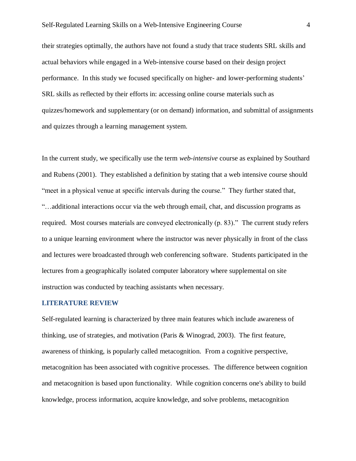their strategies optimally, the authors have not found a study that trace students SRL skills and actual behaviors while engaged in a Web-intensive course based on their design project performance. In this study we focused specifically on higher- and lower-performing students' SRL skills as reflected by their efforts in: accessing online course materials such as quizzes/homework and supplementary (or on demand) information, and submittal of assignments and quizzes through a learning management system.

In the current study, we specifically use the term *web-intensive* course as explained by Southard and Rubens (2001). They established a definition by stating that a web intensive course should "meet in a physical venue at specific intervals during the course." They further stated that, "…additional interactions occur via the web through email, chat, and discussion programs as required. Most courses materials are conveyed electronically (p. 83)." The current study refers to a unique learning environment where the instructor was never physically in front of the class and lectures were broadcasted through web conferencing software. Students participated in the lectures from a geographically isolated computer laboratory where supplemental on site instruction was conducted by teaching assistants when necessary.

#### **LITERATURE REVIEW**

Self-regulated learning is characterized by three main features which include awareness of thinking, use of strategies, and motivation (Paris & Winograd, 2003). The first feature, awareness of thinking, is popularly called metacognition. From a cognitive perspective, metacognition has been associated with cognitive processes. The difference between cognition and metacognition is based upon functionality. While cognition concerns one's ability to build knowledge, process information, acquire knowledge, and solve problems, metacognition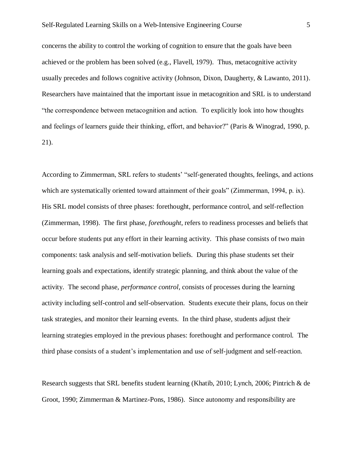concerns the ability to control the working of cognition to ensure that the goals have been achieved or the problem has been solved (e.g., Flavell, 1979). Thus, metacognitive activity usually precedes and follows cognitive activity (Johnson, Dixon, Daugherty, & Lawanto, 2011). Researchers have maintained that the important issue in metacognition and SRL is to understand "the correspondence between metacognition and action. To explicitly look into how thoughts and feelings of learners guide their thinking, effort, and behavior?" (Paris & Winograd, 1990, p. 21).

According to Zimmerman, SRL refers to students' "self-generated thoughts, feelings, and actions which are systematically oriented toward attainment of their goals" (Zimmerman, 1994, p. ix). His SRL model consists of three phases: forethought, performance control, and self-reflection (Zimmerman, 1998). The first phase, *forethought*, refers to readiness processes and beliefs that occur before students put any effort in their learning activity. This phase consists of two main components: task analysis and self-motivation beliefs. During this phase students set their learning goals and expectations, identify strategic planning, and think about the value of the activity. The second phase, *performance control*, consists of processes during the learning activity including self-control and self-observation. Students execute their plans, focus on their task strategies, and monitor their learning events. In the third phase, students adjust their learning strategies employed in the previous phases: forethought and performance control. The third phase consists of a student's implementation and use of self-judgment and self-reaction.

Research suggests that SRL benefits student learning (Khatib, 2010; Lynch, 2006; Pintrich & de Groot, 1990; Zimmerman & Martinez-Pons, 1986). Since autonomy and responsibility are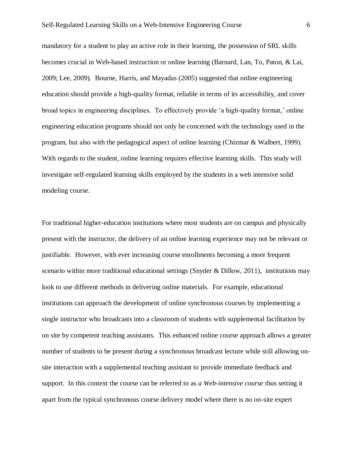mandatory for a student to play an active role in their learning, the possession of SRL skills becomes crucial in Web-based instruction or online learning (Barnard, Lan, To, Paton, & Lai, 2009; Lee, 2009). Bourne, Harris, and Mayadas (2005) suggested that online engineering education should provide a high-quality format, reliable in terms of its accessibility, and cover broad topics in engineering disciplines. To effectively provide 'a high-quality format,' online engineering education programs should not only be concerned with the technology used in the program, but also with the pedagogical aspect of online learning (Chizmar & Walbert, 1999). With regards to the student, online learning requires effective learning skills. This study will investigate self-regulated learning skills employed by the students in a web intensive solid modeling course.

For traditional higher-education institutions where most students are on campus and physically present with the instructor, the delivery of an online learning experience may not be relevant or justifiable. However, with ever increasing course enrollments becoming a more frequent scenario within more traditional educational settings (Snyder & Dillow, 2011), institutions may look to use different methods in delivering online materials. For example, educational institutions can approach the development of online synchronous courses by implementing a single instructor who broadcasts into a classroom of students with supplemental facilitation by on site by competent teaching assistants. This enhanced online course approach allows a greater number of students to be present during a synchronous broadcast lecture while still allowing onsite interaction with a supplemental teaching assistant to provide immediate feedback and support. In this context the course can be referred to as *a Web-intensive course* thus setting it apart from the typical synchronous course delivery model where there is no on-site expert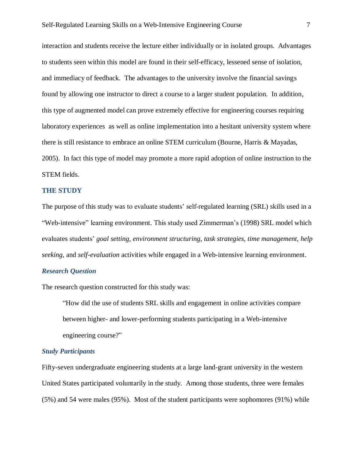interaction and students receive the lecture either individually or in isolated groups. Advantages to students seen within this model are found in their self-efficacy, lessened sense of isolation, and immediacy of feedback. The advantages to the university involve the financial savings found by allowing one instructor to direct a course to a larger student population. In addition, this type of augmented model can prove extremely effective for engineering courses requiring laboratory experiences as well as online implementation into a hesitant university system where there is still resistance to embrace an online STEM curriculum (Bourne, Harris & Mayadas, 2005). In fact this type of model may promote a more rapid adoption of online instruction to the STEM fields.

#### **THE STUDY**

The purpose of this study was to evaluate students' self-regulated learning (SRL) skills used in a "Web-intensive" learning environment. This study used Zimmerman's (1998) SRL model which evaluates students' *goal setting*, *environment structuring*, *task strategies*, *time management*, *help seeking*, and *self-evaluation* activities while engaged in a Web-intensive learning environment.

## *Research Question*

The research question constructed for this study was:

"How did the use of students SRL skills and engagement in online activities compare between higher- and lower-performing students participating in a Web-intensive engineering course?"

### *Study Participants*

Fifty-seven undergraduate engineering students at a large land-grant university in the western United States participated voluntarily in the study. Among those students, three were females (5%) and 54 were males (95%). Most of the student participants were sophomores (91%) while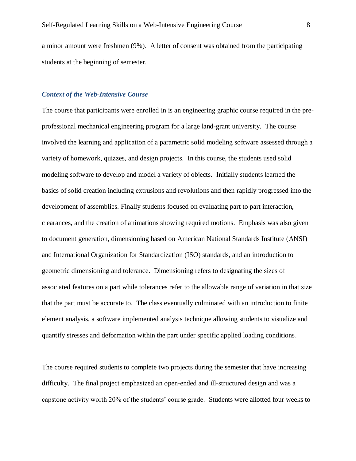a minor amount were freshmen (9%). A letter of consent was obtained from the participating students at the beginning of semester.

## *Context of the Web-Intensive Course*

The course that participants were enrolled in is an engineering graphic course required in the preprofessional mechanical engineering program for a large land-grant university. The course involved the learning and application of a parametric solid modeling software assessed through a variety of homework, quizzes, and design projects. In this course, the students used solid modeling software to develop and model a variety of objects. Initially students learned the basics of solid creation including extrusions and revolutions and then rapidly progressed into the development of assemblies. Finally students focused on evaluating part to part interaction, clearances, and the creation of animations showing required motions. Emphasis was also given to document generation, dimensioning based on American National Standards Institute (ANSI) and International Organization for Standardization (ISO) standards, and an introduction to geometric dimensioning and tolerance. Dimensioning refers to designating the sizes of associated features on a part while tolerances refer to the allowable range of variation in that size that the part must be accurate to. The class eventually culminated with an introduction to finite element analysis, a software implemented analysis technique allowing students to visualize and quantify stresses and deformation within the part under specific applied loading conditions.

The course required students to complete two projects during the semester that have increasing difficulty. The final project emphasized an open-ended and ill-structured design and was a capstone activity worth 20% of the students' course grade. Students were allotted four weeks to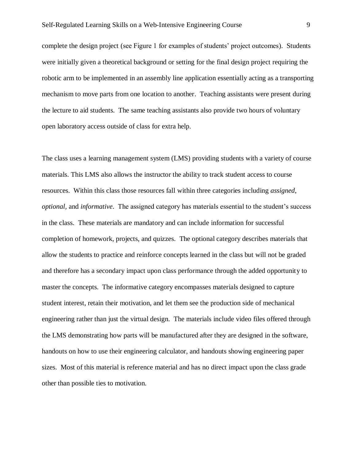complete the design project (see Figure 1 for examples of students' project outcomes). Students were initially given a theoretical background or setting for the final design project requiring the robotic arm to be implemented in an assembly line application essentially acting as a transporting mechanism to move parts from one location to another. Teaching assistants were present during the lecture to aid students. The same teaching assistants also provide two hours of voluntary open laboratory access outside of class for extra help.

The class uses a learning management system (LMS) providing students with a variety of course materials. This LMS also allows the instructor the ability to track student access to course resources. Within this class those resources fall within three categories including *assigned*, *optional,* and *informative*. The assigned category has materials essential to the student's success in the class. These materials are mandatory and can include information for successful completion of homework, projects, and quizzes. The optional category describes materials that allow the students to practice and reinforce concepts learned in the class but will not be graded and therefore has a secondary impact upon class performance through the added opportunity to master the concepts. The informative category encompasses materials designed to capture student interest, retain their motivation, and let them see the production side of mechanical engineering rather than just the virtual design. The materials include video files offered through the LMS demonstrating how parts will be manufactured after they are designed in the software, handouts on how to use their engineering calculator, and handouts showing engineering paper sizes. Most of this material is reference material and has no direct impact upon the class grade other than possible ties to motivation.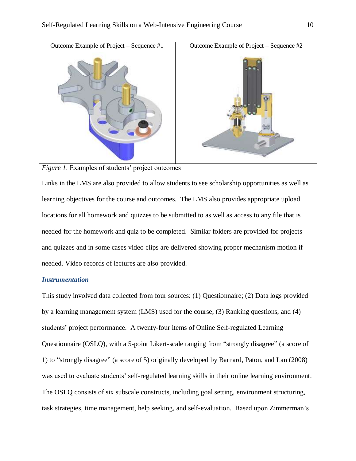

*Figure 1*. Examples of students' project outcomes

Links in the LMS are also provided to allow students to see scholarship opportunities as well as learning objectives for the course and outcomes. The LMS also provides appropriate upload locations for all homework and quizzes to be submitted to as well as access to any file that is needed for the homework and quiz to be completed. Similar folders are provided for projects and quizzes and in some cases video clips are delivered showing proper mechanism motion if needed. Video records of lectures are also provided.

## *Instrumentation*

This study involved data collected from four sources: (1) Questionnaire; (2) Data logs provided by a learning management system (LMS) used for the course; (3) Ranking questions, and (4) students' project performance. A twenty-four items of Online Self-regulated Learning Questionnaire (OSLQ), with a 5-point Likert-scale ranging from "strongly disagree" (a score of 1) to "strongly disagree" (a score of 5) originally developed by Barnard, Paton, and Lan (2008) was used to evaluate students' self-regulated learning skills in their online learning environment. The OSLQ consists of six subscale constructs, including goal setting, environment structuring, task strategies, time management, help seeking, and self-evaluation. Based upon Zimmerman's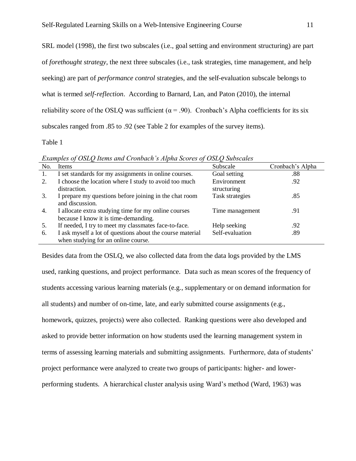SRL model (1998), the first two subscales (i.e., goal setting and environment structuring) are part of *forethought strategy*, the next three subscales (i.e., task strategies, time management, and help seeking) are part of *performance control* strategies, and the self-evaluation subscale belongs to what is termed *self-reflection*. According to Barnard, Lan, and Paton (2010), the internal reliability score of the OSLQ was sufficient ( $\alpha$  = .90). Cronbach's Alpha coefficients for its six subscales ranged from .85 to .92 (see Table 2 for examples of the survey items).

## Table 1

*Examples of OSLQ Items and Cronbach's Alpha Scores of OSLQ Subscales*

| No. | Items                                                     | Subscale        | Cronbach's Alpha |
|-----|-----------------------------------------------------------|-----------------|------------------|
| 1.  | I set standards for my assignments in online courses.     | Goal setting    | .88              |
| 2.  | I choose the location where I study to avoid too much     | Environment     | .92              |
|     | distraction.                                              | structuring     |                  |
| 3.  | I prepare my questions before joining in the chat room    | Task strategies | .85              |
|     | and discussion.                                           |                 |                  |
| 4.  | I allocate extra studying time for my online courses      | Time management | .91              |
|     | because I know it is time-demanding.                      |                 |                  |
| 5.  | If needed, I try to meet my classmates face-to-face.      | Help seeking    | .92              |
| 6.  | I ask myself a lot of questions about the course material | Self-evaluation | .89              |
|     | when studying for an online course.                       |                 |                  |

Besides data from the OSLQ, we also collected data from the data logs provided by the LMS used, ranking questions, and project performance. Data such as mean scores of the frequency of students accessing various learning materials (e.g., supplementary or on demand information for all students) and number of on-time, late, and early submitted course assignments (e.g., homework, quizzes, projects) were also collected. Ranking questions were also developed and asked to provide better information on how students used the learning management system in terms of assessing learning materials and submitting assignments. Furthermore, data of students' project performance were analyzed to create two groups of participants: higher- and lowerperforming students. A hierarchical cluster analysis using Ward's method (Ward, 1963) was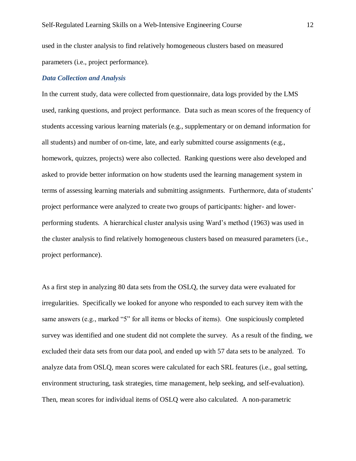used in the cluster analysis to find relatively homogeneous clusters based on measured parameters (i.e., project performance).

## *Data Collection and Analysis*

In the current study, data were collected from questionnaire, data logs provided by the LMS used, ranking questions, and project performance. Data such as mean scores of the frequency of students accessing various learning materials (e.g., supplementary or on demand information for all students) and number of on-time, late, and early submitted course assignments (e.g., homework, quizzes, projects) were also collected. Ranking questions were also developed and asked to provide better information on how students used the learning management system in terms of assessing learning materials and submitting assignments. Furthermore, data of students' project performance were analyzed to create two groups of participants: higher- and lowerperforming students. A hierarchical cluster analysis using Ward's method (1963) was used in the cluster analysis to find relatively homogeneous clusters based on measured parameters (i.e., project performance).

As a first step in analyzing 80 data sets from the OSLQ, the survey data were evaluated for irregularities. Specifically we looked for anyone who responded to each survey item with the same answers (e.g., marked "5" for all items or blocks of items). One suspiciously completed survey was identified and one student did not complete the survey. As a result of the finding, we excluded their data sets from our data pool, and ended up with 57 data sets to be analyzed. To analyze data from OSLQ, mean scores were calculated for each SRL features (i.e., goal setting, environment structuring, task strategies, time management, help seeking, and self-evaluation). Then, mean scores for individual items of OSLQ were also calculated. A non-parametric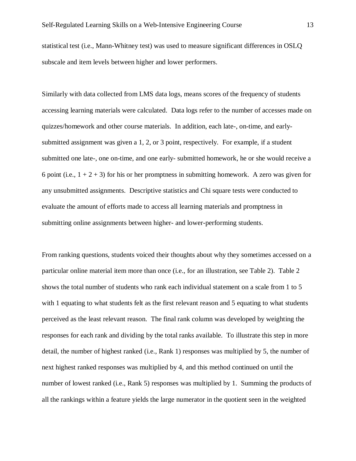statistical test (i.e., Mann-Whitney test) was used to measure significant differences in OSLQ subscale and item levels between higher and lower performers.

Similarly with data collected from LMS data logs, means scores of the frequency of students accessing learning materials were calculated. Data logs refer to the number of accesses made on quizzes/homework and other course materials. In addition, each late-, on-time, and earlysubmitted assignment was given a 1, 2, or 3 point, respectively. For example, if a student submitted one late-, one on-time, and one early- submitted homework, he or she would receive a 6 point (i.e.,  $1 + 2 + 3$ ) for his or her promptness in submitting homework. A zero was given for any unsubmitted assignments. Descriptive statistics and Chi square tests were conducted to evaluate the amount of efforts made to access all learning materials and promptness in submitting online assignments between higher- and lower-performing students.

From ranking questions, students voiced their thoughts about why they sometimes accessed on a particular online material item more than once (i.e., for an illustration, see Table 2). Table 2 shows the total number of students who rank each individual statement on a scale from 1 to 5 with 1 equating to what students felt as the first relevant reason and 5 equating to what students perceived as the least relevant reason. The final rank column was developed by weighting the responses for each rank and dividing by the total ranks available. To illustrate this step in more detail, the number of highest ranked (i.e., Rank 1) responses was multiplied by 5, the number of next highest ranked responses was multiplied by 4, and this method continued on until the number of lowest ranked (i.e., Rank 5) responses was multiplied by 1. Summing the products of all the rankings within a feature yields the large numerator in the quotient seen in the weighted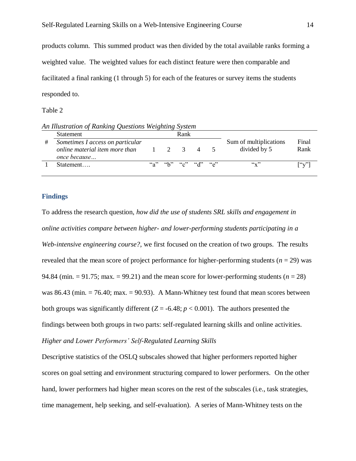products column. This summed product was then divided by the total available ranks forming a weighted value. The weighted values for each distinct feature were then comparable and facilitated a final ranking (1 through 5) for each of the features or survey items the students responded to.

Table 2

*An Illustration of Ranking Questions Weighting System*

| <b>Statement</b>                 |                                    | Rank |   |                           |               |
|----------------------------------|------------------------------------|------|---|---------------------------|---------------|
| Sometimes I access on particular |                                    |      |   | Sum of multiplications    | Final         |
| online material item more than   |                                    | - 5  | 4 | divided by 5              | Rank          |
| once because                     |                                    |      |   |                           |               |
| Statement                        | $``a"$ $``b"$ $``c"$ $``d"$ $``e"$ |      |   | $\mathbf{G}_{\mathbf{X}}$ | $\lceil$ 'v'l |
|                                  |                                    |      |   |                           |               |

#### **Findings**

To address the research question, *how did the use of students SRL skills and engagement in online activities compare between higher- and lower-performing students participating in a Web-intensive engineering course?*, we first focused on the creation of two groups. The results revealed that the mean score of project performance for higher-performing students ( $n = 29$ ) was 94.84 (min.  $= 91.75$ ; max.  $= 99.21$ ) and the mean score for lower-performing students ( $n = 28$ ) was 86.43 (min.  $= 76.40$ ; max.  $= 90.93$ ). A Mann-Whitney test found that mean scores between both groups was significantly different  $(Z = -6.48; p < 0.001)$ . The authors presented the findings between both groups in two parts: self-regulated learning skills and online activities. *Higher and Lower Performers' Self-Regulated Learning Skills*

Descriptive statistics of the OSLQ subscales showed that higher performers reported higher scores on goal setting and environment structuring compared to lower performers. On the other hand, lower performers had higher mean scores on the rest of the subscales (i.e., task strategies, time management, help seeking, and self-evaluation). A series of Mann-Whitney tests on the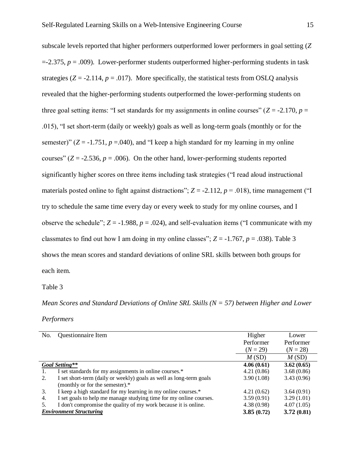subscale levels reported that higher performers outperformed lower performers in goal setting (*Z*  $=$  -2.375,  $p = .009$ ). Lower-performer students outperformed higher-performing students in task strategies  $(Z = -2.114, p = .017)$ . More specifically, the statistical tests from OSLO analysis revealed that the higher-performing students outperformed the lower-performing students on three goal setting items: "I set standards for my assignments in online courses" ( $Z = -2.170$ ,  $p =$ .015), "I set short-term (daily or weekly) goals as well as long-term goals (monthly or for the semester)"  $(Z = -1.751, p = .040)$ , and "I keep a high standard for my learning in my online courses"  $(Z = -2.536, p = .006)$ . On the other hand, lower-performing students reported significantly higher scores on three items including task strategies ("I read aloud instructional materials posted online to fight against distractions";  $Z = -2.112$ ,  $p = .018$ ), time management ("I try to schedule the same time every day or every week to study for my online courses, and I observe the schedule";  $Z = -1.988$ ,  $p = .024$ ), and self-evaluation items ("I communicate with my classmates to find out how I am doing in my online classes";  $Z = -1.767$ ,  $p = .038$ ). Table 3 shows the mean scores and standard deviations of online SRL skills between both groups for each item.

Table 3

*Mean Scores and Standard Deviations of Online SRL Skills (N = 57) between Higher and Lower* 

| Performers |  |  |
|------------|--|--|
|            |  |  |

| No. | <b>Questionnaire Item</b>                                           | Higher     | Lower      |
|-----|---------------------------------------------------------------------|------------|------------|
|     |                                                                     | Performer  | Performer  |
|     |                                                                     | $(N = 29)$ | $(N = 28)$ |
|     |                                                                     | M(SD)      | M(SD)      |
|     | Goal Setting**                                                      | 4.06(0.61) | 3.62(0.65) |
|     | I set standards for my assignments in online courses.*              | 4.21(0.86) | 3.68(0.86) |
| 2.  | I set short-term (daily or weekly) goals as well as long-term goals | 3.90(1.08) | 3.43(0.96) |
|     | (monthly or for the semester).*                                     |            |            |
| 3.  | I keep a high standard for my learning in my online courses.*       | 4.21(0.62) | 3.64(0.91) |
| 4.  | I set goals to help me manage studying time for my online courses.  | 3.59(0.91) | 3.29(1.01) |
| .5. | I don't compromise the quality of my work because it is online.     | 4.38(0.98) | 4.07(1.05) |
|     | <b>Environment Structuring</b>                                      | 3.85(0.72) | 3.72(0.81) |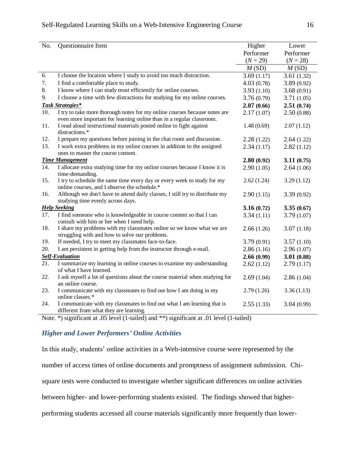| No. | Questionnaire Item                                                                                                                                | Higher     | Lower      |
|-----|---------------------------------------------------------------------------------------------------------------------------------------------------|------------|------------|
|     |                                                                                                                                                   | Performer  | Performer  |
|     |                                                                                                                                                   | $(N = 29)$ | $(N = 28)$ |
|     |                                                                                                                                                   | M(SD)      | M(SD)      |
| 6.  | I choose the location where I study to avoid too much distraction.                                                                                | 3.69(1.17) | 3.61(1.32) |
| 7.  | I find a comfortable place to study.                                                                                                              | 4.03(0.78) | 3.89(0.92) |
| 8.  | I know where I can study most efficiently for online courses.                                                                                     | 3.93(1.10) | 3.68(0.91) |
| 9.  | I choose a time with few distractions for studying for my online courses.                                                                         | 3.76(0.79) | 3.71(1.05) |
|     | <b>Task Strategies*</b>                                                                                                                           | 2.07(0.66) | 2.51(0.74) |
| 10. | I try to take more thorough notes for my online courses because notes are<br>even more important for learning online than in a regular classroom. | 2.17(1.07) | 2.50(0.88) |
| 11. | I read aloud instructional materials posted online to fight against<br>distractions.*                                                             | 1.48(0.69) | 2.07(1.12) |
| 12. | I prepare my questions before joining in the chat room and discussion.                                                                            | 2.28(1.22) | 2.64(1.22) |
| 13. | I work extra problems in my online courses in addition to the assigned<br>ones to master the course content.                                      | 2.34(1.17) | 2.82(1.12) |
|     | <b>Time Management</b>                                                                                                                            | 2.80(0.92) | 3.11(0.75) |
| 14. | I allocate extra studying time for my online courses because I know it is<br>time-demanding.                                                      | 2.90(1.05) | 2.64(1.06) |
| 15. | I try to schedule the same time every day or every week to study for my<br>online courses, and I observe the schedule.*                           | 2.62(1.24) | 3.29(1.12) |
| 16. | Although we don't have to attend daily classes, I still try to distribute my<br>studying time evenly across days.                                 | 2.90(1.15) | 3.39(0.92) |
|     | <b>Help Seeking</b>                                                                                                                               | 3.16(0.72) | 3.35(0.67) |
| 17. | I find someone who is knowledgeable in course content so that I can<br>consult with him or her when I need help.                                  | 3.34(1.11) | 3.79(1.07) |
| 18. | I share my problems with my classmates online so we know what we are<br>struggling with and how to solve our problems.                            | 2.66(1.26) | 3.07(1.18) |
| 19. | If needed, I try to meet my classmates face-to-face.                                                                                              | 3.79(0.91) | 3.57(1.10) |
| 20. | I am persistent in getting help from the instructor through e-mail.                                                                               | 2.86(1.16) | 2.96(1.07) |
|     | <b>Self-Evaluation</b>                                                                                                                            | 2.66(0.99) | 3.01(0.88) |
| 21. | I summarize my learning in online courses to examine my understanding<br>of what I have learned.                                                  | 2.62(1.12) | 2.79(1.17) |
| 22. | I ask myself a lot of questions about the course material when studying for<br>an online course.                                                  | 2.69(1.04) | 2.86(1.04) |
| 23. | I communicate with my classmates to find out how I am doing in my<br>online classes.*                                                             | 2.79(1.26) | 3.36(1.13) |
| 24. | I communicate with my classmates to find out what I am learning that is<br>different from what they are learning.                                 | 2.55(1.33) | 3.04(0.99) |

Note. \*) significant at .05 level (1-tailed) and \*\*) significant at .01 level (1-tailed)

# *Higher and Lower Performers' Online Activities*

In this study, students' online activities in a Web-intensive course were represented by the number of access times of online documents and promptness of assignment submission. Chisquare tests were conducted to investigate whether significant differences on online activities between higher- and lower-performing students existed. The findings showed that higherperforming students accessed all course materials significantly more frequently than lower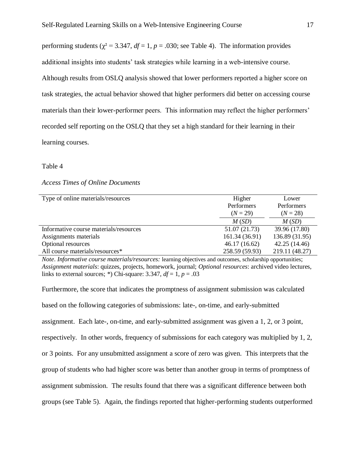performing students ( $\gamma^2 = 3.347$ ,  $df = 1$ ,  $p = .030$ ; see Table 4). The information provides additional insights into students' task strategies while learning in a web-intensive course. Although results from OSLQ analysis showed that lower performers reported a higher score on task strategies, the actual behavior showed that higher performers did better on accessing course materials than their lower-performer peers. This information may reflect the higher performers' recorded self reporting on the OSLQ that they set a high standard for their learning in their learning courses.

#### Table 4

## *Access Times of Online Documents*

| Type of online materials/resources     | Higher         | Lower          |
|----------------------------------------|----------------|----------------|
|                                        | Performers     | Performers     |
|                                        | $(N = 29)$     | $(N = 28)$     |
|                                        | M(SD)          | M(SD)          |
| Informative course materials/resources | 51.07 (21.73)  | 39.96 (17.80)  |
| Assignments materials                  | 161.34 (36.91) | 136.89 (31.95) |
| Optional resources                     | 46.17(16.62)   | 42.25 (14.46)  |
| All course materials/resources*        | 258.59 (59.93) | 219.11 (48.27) |

*Note*. *Informative course materials/resources:* learning objectives and outcomes, scholarship opportunities; *Assignment materials*: quizzes, projects, homework, journal; *Optional resources*: archived video lectures, links to external sources; \*) Chi-square: 3.347,  $df = 1$ ,  $p = .03$ 

Furthermore, the score that indicates the promptness of assignment submission was calculated based on the following categories of submissions: late-, on-time, and early-submitted assignment. Each late-, on-time, and early-submitted assignment was given a 1, 2, or 3 point, respectively. In other words, frequency of submissions for each category was multiplied by 1, 2, or 3 points. For any unsubmitted assignment a score of zero was given. This interprets that the group of students who had higher score was better than another group in terms of promptness of assignment submission. The results found that there was a significant difference between both groups (see Table 5). Again, the findings reported that higher-performing students outperformed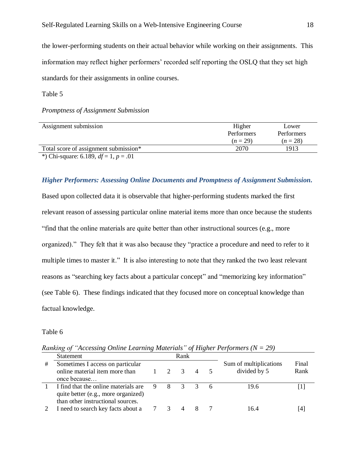the lower-performing students on their actual behavior while working on their assignments. This information may reflect higher performers' recorded self reporting the OSLQ that they set high standards for their assignments in online courses.

Table 5

*Promptness of Assignment Submission*

| Assignment submission                      | Higher     | Lower      |
|--------------------------------------------|------------|------------|
|                                            | Performers | Performers |
|                                            | $(n=29)$   | $(n=28)$   |
| Total score of assignment submission*      | 2070       | 1913       |
| *) Chi-square: 6.189, $df = 1$ , $p = .01$ |            |            |

*Higher Performers: Assessing Online Documents and Promptness of Assignment Submission.* 

Based upon collected data it is observable that higher-performing students marked the first relevant reason of assessing particular online material items more than once because the students "find that the online materials are quite better than other instructional sources (e.g., more organized)." They felt that it was also because they "practice a procedure and need to refer to it multiple times to master it." It is also interesting to note that they ranked the two least relevant reasons as "searching key facts about a particular concept" and "memorizing key information" (see Table 6). These findings indicated that they focused more on conceptual knowledge than factual knowledge.

#### Table 6

*Ranking of "Accessing Online Learning Materials" of Higher Performers (N = 29)*

|   | <b>Statement</b>                                                                                                 | Rank |   |                                        |                |  |                                        |               |
|---|------------------------------------------------------------------------------------------------------------------|------|---|----------------------------------------|----------------|--|----------------------------------------|---------------|
| # | Sometimes I access on particular<br>online material item more than<br>once because                               |      |   | $\mathcal{R}$                          | $\overline{4}$ |  | Sum of multiplications<br>divided by 5 | Final<br>Rank |
|   | I find that the online materials are<br>quite better (e.g., more organized)<br>than other instructional sources. | 9    | 8 | $\begin{array}{ccc} 3 & 3 \end{array}$ |                |  | 19.6                                   |               |
|   | I need to search key facts about a                                                                               |      |   |                                        |                |  | 164                                    |               |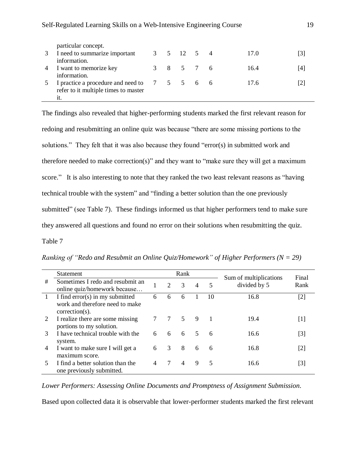| particular concept.<br>I need to summarize important |   | 3 5 12 5 4 |  | 17.0 | [3] |
|------------------------------------------------------|---|------------|--|------|-----|
| information.                                         |   |            |  |      |     |
| I want to memorize key                               | 8 | 5 7 6      |  | 16.4 | [4] |
| information.                                         |   |            |  |      |     |
| I practice a procedure and need to 7 5 5 6 6         |   |            |  | 17.6 |     |
| refer to it multiple times to master                 |   |            |  |      |     |
| 1t.                                                  |   |            |  |      |     |

The findings also revealed that higher-performing students marked the first relevant reason for redoing and resubmitting an online quiz was because "there are some missing portions to the solutions." They felt that it was also because they found "error(s) in submitted work and therefore needed to make correction(s)" and they want to "make sure they will get a maximum score." It is also interesting to note that they ranked the two least relevant reasons as "having" technical trouble with the system" and "finding a better solution than the one previously submitted" (see Table 7). These findings informed us that higher performers tend to make sure they answered all questions and found no error on their solutions when resubmitting the quiz. Table 7

|                | <b>Statement</b>                                                                        |   |                             | Rank |                |    | Sum of multiplications | Final                                                                                                                                                                                          |
|----------------|-----------------------------------------------------------------------------------------|---|-----------------------------|------|----------------|----|------------------------|------------------------------------------------------------------------------------------------------------------------------------------------------------------------------------------------|
| #              | Sometimes I redo and resubmit an<br>online quiz/homework because                        |   | $\mathcal{D}_{\mathcal{L}}$ | 3    | $\overline{4}$ | 5  | divided by 5           | Rank                                                                                                                                                                                           |
|                | I find error(s) in my submitted<br>work and therefore need to make<br>$correction(s)$ . | 6 | 6                           | 6    |                | 10 | 16.8                   | $[2]$                                                                                                                                                                                          |
|                | I realize there are some missing<br>portions to my solution.                            |   | 7                           | 5    | 9              |    | 19.4                   | $[1] % \includegraphics[width=0.9\columnwidth]{figures/fig_1a} \caption{The figure shows the number of times on the right, and the number of times on the right, respectively.} \label{fig:1}$ |
| 3              | I have technical trouble with the<br>system.                                            | 6 | 6                           | 6    | 5              | 6  | 16.6                   | [3]                                                                                                                                                                                            |
| $\overline{4}$ | I want to make sure I will get a<br>maximum score.                                      | 6 | 3                           | 8    | 6              | 6  | 16.8                   | [2]                                                                                                                                                                                            |
|                | I find a better solution than the<br>one previously submitted.                          |   |                             | 4    | 9              | 5  | 16.6                   | [3]                                                                                                                                                                                            |

*Ranking of "Redo and Resubmit an Online Quiz/Homework" of Higher Performers (N = 29)*

*Lower Performers: Assessing Online Documents and Promptness of Assignment Submission.* 

Based upon collected data it is observable that lower-performer students marked the first relevant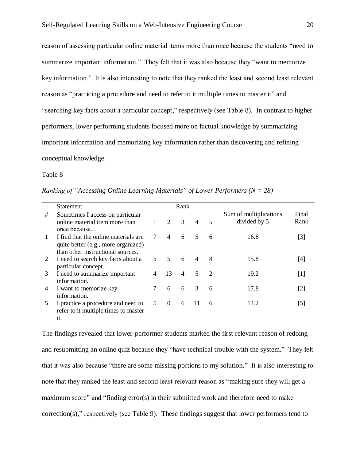reason of assessing particular online material items more than once because the students "need to summarize important information." They felt that it was also because they "want to memorize key information." It is also interesting to note that they ranked the least and second least relevant reason as "practicing a procedure and need to refer to it multiple times to master it" and "searching key facts about a particular concept," respectively (see Table 8). In contrast to higher performers, lower performing students focused more on factual knowledge by summarizing important information and memorizing key information rather than discovering and refining conceptual knowledge.

Table 8

| Ranking of "Accessing Online Learning Materials" of Lower Performers ( $N = 28$ ) |  |  |  |
|-----------------------------------------------------------------------------------|--|--|--|
|-----------------------------------------------------------------------------------|--|--|--|

|                | Statement                                                                                                        |    |                | Rank           |                |               |                                        |               |
|----------------|------------------------------------------------------------------------------------------------------------------|----|----------------|----------------|----------------|---------------|----------------------------------------|---------------|
| #              | Sometimes I access on particular<br>online material item more than<br>once because                               |    | 2              | 3              | $\overline{4}$ | 5             | Sum of multiplications<br>divided by 5 | Final<br>Rank |
|                | I find that the online materials are<br>quite better (e.g., more organized)<br>than other instructional sources. | 7  | 4              | 6              | 5              | 6             | 16.6                                   | [3]           |
| 2              | I need to search key facts about a<br>particular concept.                                                        |    | $\overline{5}$ | 6              | $\overline{4}$ | 8             | 15.8                                   | [4]           |
| 3              | I need to summarize important<br>information.                                                                    |    | 13             | $\overline{4}$ | $\sim$         | $\mathcal{L}$ | 19.2                                   | [1]           |
| $\overline{4}$ | I want to memorize key<br>information.                                                                           |    | 6              | 6              | 3              | 6             | 17.8                                   | [2]           |
| 5              | I practice a procedure and need to<br>refer to it multiple times to master<br>it.                                | 5. | $\theta$       | 6              | 11             | 6             | 14.2                                   | [5]           |

The findings revealed that lower-performer students marked the first relevant reason of redoing and resubmitting an online quiz because they "have technical trouble with the system." They felt that it was also because "there are some missing portions to my solution." It is also interesting to note that they ranked the least and second least relevant reason as "making sure they will get a maximum score" and "finding error(s) in their submitted work and therefore need to make correction(s)," respectively (see Table 9). These findings suggest that lower performers tend to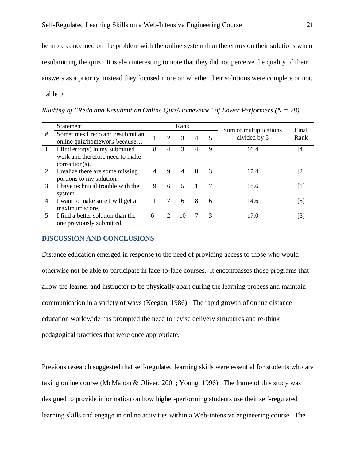be more concerned on the problem with the online system than the errors on their solutions when resubmitting the quiz. It is also interesting to note that they did not perceive the quality of their answers as a priority, instead they focused more on whether their solutions were complete or not. Table 9

Statement Rank Sum of multiplications divided by 5 Final  $\frac{4}{\pi}$  Sometimes I redo and resubmit an  $\frac{1}{\pi}$  2 3 4 5 sum of multiplications Final online quiz/homework because... 1 I find error(s) in my submitted work and therefore need to make correction(s). 8 4 3 4 9 16.4 [4] 2 I realize there are some missing portions to my solution. 4 9 4 8 3 17.4 [2] 3 I have technical trouble with the system. 9 6 5 1 7 18.6 [1] 4 I want to make sure I will get a maximum score. 1 7 6 8 6 14.6 [5] 5 I find a better solution than the one previously submitted. 6 2 10 7 3 17.0 [3]

*Ranking of "Redo and Resubmit an Online Quiz/Homework" of Lower Performers (N = 28)*

## **DISCUSSION AND CONCLUSIONS**

Distance education emerged in response to the need of providing access to those who would otherwise not be able to participate in face-to-face courses. It encompasses those programs that allow the learner and instructor to be physically apart during the learning process and maintain communication in a variety of ways (Keegan, 1986). The rapid growth of online distance education worldwide has prompted the need to revise delivery structures and re-think pedagogical practices that were once appropriate.

Previous research suggested that self-regulated learning skills were essential for students who are taking online course (McMahon & Oliver, 2001; Young, 1996). The frame of this study was designed to provide information on how higher-performing students use their self-regulated learning skills and engage in online activities within a Web-intensive engineering course. The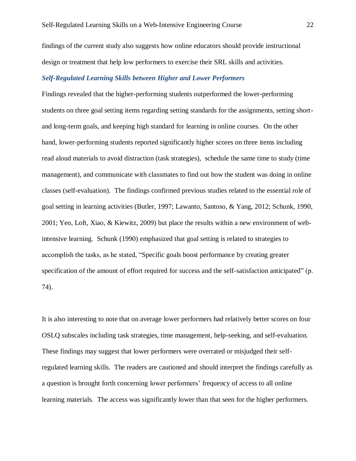findings of the current study also suggests how online educators should provide instructional design or treatment that help low performers to exercise their SRL skills and activities.

# *Self-Regulated Learning Skills between Higher and Lower Performers*

Findings revealed that the higher-performing students outperformed the lower-performing students on three goal setting items regarding setting standards for the assignments, setting shortand long-term goals, and keeping high standard for learning in online courses. On the other hand, lower-performing students reported significantly higher scores on three items including read aloud materials to avoid distraction (task strategies), schedule the same time to study (time management), and communicate with classmates to find out how the student was doing in online classes (self-evaluation). The findings confirmed previous studies related to the essential role of goal setting in learning activities (Butler, 1997; Lawanto, Santoso, & Yang, 2012; Schunk, 1990, 2001; Yeo, Loft, Xiao, & Kiewitz, 2009) but place the results within a new environment of webintensive learning. Schunk (1990) emphasized that goal setting is related to strategies to accomplish the tasks, as he stated, "Specific goals boost performance by creating greater specification of the amount of effort required for success and the self-satisfaction anticipated" (p. 74).

It is also interesting to note that on average lower performers had relatively better scores on four OSLQ subscales including task strategies, time management, help-seeking, and self-evaluation. These findings may suggest that lower performers were overrated or misjudged their selfregulated learning skills. The readers are cautioned and should interpret the findings carefully as a question is brought forth concerning lower performers' frequency of access to all online learning materials. The access was significantly lower than that seen for the higher performers.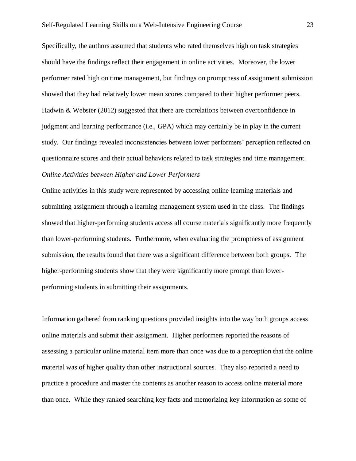Specifically, the authors assumed that students who rated themselves high on task strategies should have the findings reflect their engagement in online activities. Moreover, the lower performer rated high on time management, but findings on promptness of assignment submission showed that they had relatively lower mean scores compared to their higher performer peers. Hadwin & Webster (2012) suggested that there are correlations between overconfidence in judgment and learning performance (i.e., GPA) which may certainly be in play in the current study. Our findings revealed inconsistencies between lower performers' perception reflected on questionnaire scores and their actual behaviors related to task strategies and time management. *Online Activities between Higher and Lower Performers* 

Online activities in this study were represented by accessing online learning materials and submitting assignment through a learning management system used in the class. The findings showed that higher-performing students access all course materials significantly more frequently than lower-performing students. Furthermore, when evaluating the promptness of assignment submission, the results found that there was a significant difference between both groups. The higher-performing students show that they were significantly more prompt than lowerperforming students in submitting their assignments.

Information gathered from ranking questions provided insights into the way both groups access online materials and submit their assignment. Higher performers reported the reasons of assessing a particular online material item more than once was due to a perception that the online material was of higher quality than other instructional sources. They also reported a need to practice a procedure and master the contents as another reason to access online material more than once. While they ranked searching key facts and memorizing key information as some of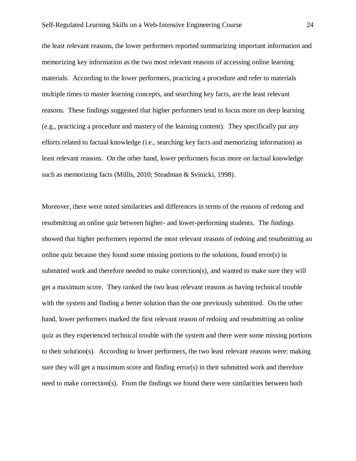the least relevant reasons, the lower performers reported summarizing important information and memorizing key information as the two most relevant reasons of accessing online learning materials. According to the lower performers, practicing a procedure and refer to materials multiple times to master learning concepts, and searching key facts, are the least relevant reasons. These findings suggested that higher performers tend to focus more on deep learning (e.g., practicing a procedure and mastery of the learning content). They specifically put any efforts related to factual knowledge (i.e., searching key facts and memorizing information) as least relevant reasons. On the other hand, lower performers focus more on factual knowledge such as memorizing facts (Millis, 2010; Steadman & Svinicki, 1998).

Moreover, there were noted similarities and differences in terms of the reasons of redoing and resubmitting an online quiz between higher- and lower-performing students. The findings showed that higher performers reported the most relevant reasons of redoing and resubmitting an online quiz because they found some missing portions to the solutions, found error(s) in submitted work and therefore needed to make correction(s), and wanted to make sure they will get a maximum score. They ranked the two least relevant reasons as having technical trouble with the system and finding a better solution than the one previously submitted. On the other hand, lower performers marked the first relevant reason of redoing and resubmitting an online quiz as they experienced technical trouble with the system and there were some missing portions to their solution(s). According to lower performers, the two least relevant reasons were: making sure they will get a maximum score and finding error(s) in their submitted work and therefore need to make correction(s). From the findings we found there were similarities between both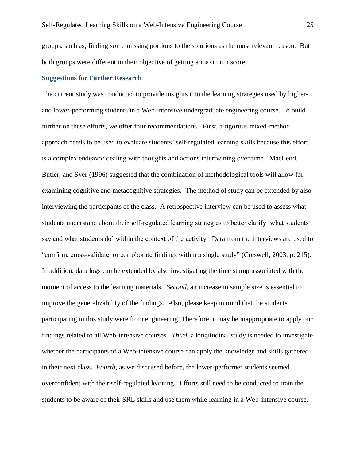groups, such as, finding some missing portions to the solutions as the most relevant reason. But both groups were different in their objective of getting a maximum score.

# **Suggestions for Further Research**

The current study was conducted to provide insights into the learning strategies used by higherand lower-performing students in a Web-intensive undergraduate engineering course. To build further on these efforts, we offer four recommendations. *First*, a rigorous mixed-method approach needs to be used to evaluate students' self-regulated learning skills because this effort is a complex endeavor dealing with thoughts and actions intertwining over time. MacLeod, Butler, and Syer (1996) suggested that the combination of methodological tools will allow for examining cognitive and metacognitive strategies. The method of study can be extended by also interviewing the participants of the class. A retrospective interview can be used to assess what students understand about their self-regulated learning strategies to better clarify 'what students say and what students do' within the context of the activity. Data from the interviews are used to "confirm, cross-validate, or corroborate findings within a single study" (Creswell, 2003, p. 215). In addition, data logs can be extended by also investigating the time stamp associated with the moment of access to the learning materials. *Second*, an increase in sample size is essential to improve the generalizability of the findings. Also, please keep in mind that the students participating in this study were from engineering. Therefore, it may be inappropriate to apply our findings related to all Web-intensive courses. *Third*, a longitudinal study is needed to investigate whether the participants of a Web-intensive course can apply the knowledge and skills gathered in their next class. *Fourth*, as we discussed before, the lower-performer students seemed overconfident with their self-regulated learning. Efforts still need to be conducted to train the students to be aware of their SRL skills and use them while learning in a Web-intensive course.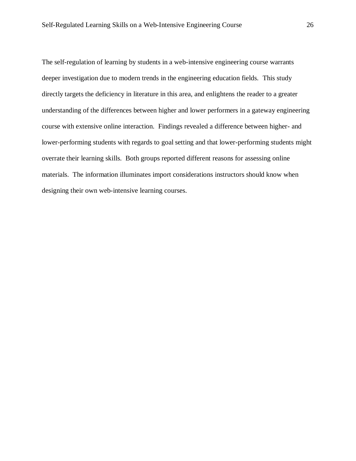The self-regulation of learning by students in a web-intensive engineering course warrants deeper investigation due to modern trends in the engineering education fields. This study directly targets the deficiency in literature in this area, and enlightens the reader to a greater understanding of the differences between higher and lower performers in a gateway engineering course with extensive online interaction. Findings revealed a difference between higher- and lower-performing students with regards to goal setting and that lower-performing students might overrate their learning skills. Both groups reported different reasons for assessing online materials. The information illuminates import considerations instructors should know when designing their own web-intensive learning courses.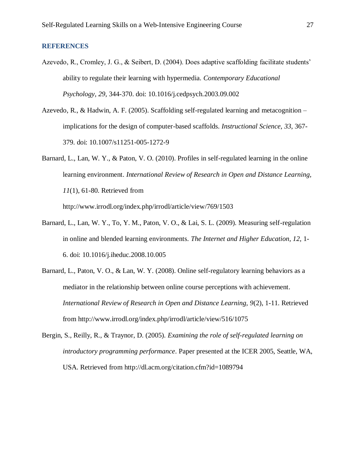## **REFERENCES**

- Azevedo, R., Cromley, J. G., & Seibert, D. (2004). Does adaptive scaffolding facilitate students' ability to regulate their learning with hypermedia. *Contemporary Educational Psychology, 29*, 344-370. doi: 10.1016/j.cedpsych.2003.09.002
- Azevedo, R., & Hadwin, A. F. (2005). Scaffolding self-regulated learning and metacognition implications for the design of computer-based scaffolds. *Instructional Science*, *33*, 367- 379. doi: 10.1007/s11251-005-1272-9
- Barnard, L., Lan, W. Y., & Paton, V. O. (2010). Profiles in self-regulated learning in the online learning environment. *International Review of Research in Open and Distance Learning, 11*(1), 61-80. Retrieved from http://www.irrodl.org/index.php/irrodl/article/view/769/1503
- Barnard, L., Lan, W. Y., To, Y. M., Paton, V. O., & Lai, S. L. (2009). Measuring self-regulation in online and blended learning environments. *The Internet and Higher Education, 12,* 1- 6. doi: 10.1016/j.iheduc.2008.10.005
- Barnard, L., Paton, V. O., & Lan, W. Y. (2008). Online self-regulatory learning behaviors as a mediator in the relationship between online course perceptions with achievement. *International Review of Research in Open and Distance Learning, 9*(2), 1-11. Retrieved from http://www.irrodl.org/index.php/irrodl/article/view/516/1075
- Bergin, S., Reilly, R., & Traynor, D. (2005). *Examining the role of self-regulated learning on introductory programming performance*. Paper presented at the ICER 2005, Seattle, WA, USA. Retrieved from http://dl.acm.org/citation.cfm?id=1089794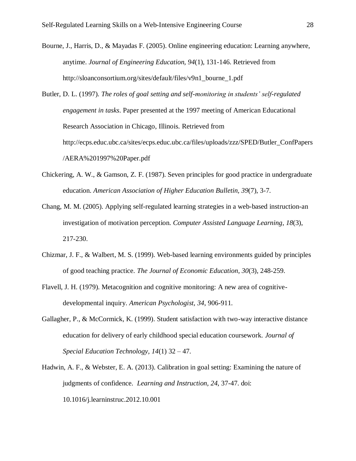Bourne, J., Harris, D., & Mayadas F. (2005). Online engineering education: Learning anywhere, anytime. *Journal of Engineering Education, 94*(1), 131-146. Retrieved from http://sloanconsortium.org/sites/default/files/v9n1\_bourne\_1.pdf

Butler, D. L. (1997). *The roles of goal setting and self-monitoring in students' self-regulated engagement in tasks*. Paper presented at the 1997 meeting of American Educational Research Association in Chicago, Illinois. Retrieved from http://ecps.educ.ubc.ca/sites/ecps.educ.ubc.ca/files/uploads/zzz/SPED/Butler\_ConfPapers /AERA%201997%20Paper.pdf

- Chickering, A. W., & Gamson, Z. F. (1987). Seven principles for good practice in undergraduate education. *American Association of Higher Education Bulletin, 39*(7), 3-7.
- Chang, M. M. (2005). Applying self-regulated learning strategies in a web-based instruction-an investigation of motivation perception. *Computer Assisted Language Learning*, *18*(3), 217-230.
- Chizmar, J. F., & Walbert, M. S. (1999). Web-based learning environments guided by principles of good teaching practice. *The Journal of Economic Education*, *30*(3), 248-259.
- Flavell, J. H. (1979). Metacognition and cognitive monitoring: A new area of cognitivedevelopmental inquiry. *American Psychologist, 34*, 906-911.
- Gallagher, P., & McCormick, K. (1999). Student satisfaction with two-way interactive distance education for delivery of early childhood special education coursework. *Journal of Special Education Technology, 14*(1) 32 – 47.
- Hadwin, A. F., & Webster, E. A. (2013). Calibration in goal setting: Examining the nature of judgments of confidence. *Learning and Instruction, 24*, 37-47. doi: 10.1016/j.learninstruc.2012.10.001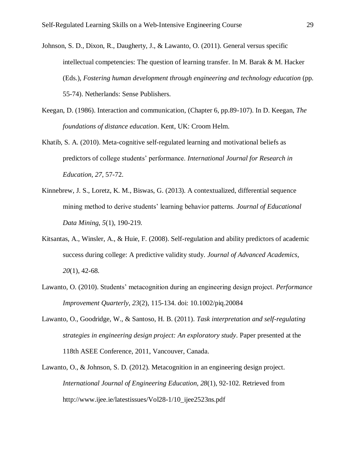- Johnson, S. D., Dixon, R., Daugherty, J., & Lawanto, O. (2011). General versus specific intellectual competencies: The question of learning transfer. In M. Barak & M. Hacker (Eds.), *Fostering human development through engineering and technology education* (pp. 55-74). Netherlands: Sense Publishers.
- Keegan, D. (1986). Interaction and communication, (Chapter 6, pp.89-107). In D. Keegan, *The foundations of distance education*. Kent, UK: Croom Helm.
- Khatib, S. A. (2010). Meta-cognitive self-regulated learning and motivational beliefs as predictors of college students' performance. *International Journal for Research in Education, 27*, 57-72.
- Kinnebrew, J. S., Loretz, K. M., Biswas, G. (2013). A contextualized, differential sequence mining method to derive students' learning behavior patterns. *Journal of Educational Data Mining, 5*(1), 190-219.
- Kitsantas, A., Winsler, A., & Huie, F. (2008). Self-regulation and ability predictors of academic success during college: A predictive validity study. *Journal of Advanced Academics*, *20*(1), 42-68.
- Lawanto, O. (2010). Students' metacognition during an engineering design project. *Performance Improvement Quarterly, 23*(2), 115-134. doi: 10.1002/piq.20084
- Lawanto, O., Goodridge, W., & Santoso, H. B. (2011). *Task interpretation and self-regulating strategies in engineering design project: An exploratory study*. Paper presented at the 118th ASEE Conference, 2011, Vancouver, Canada.
- Lawanto, O., & Johnson, S. D. (2012). Metacognition in an engineering design project. *International Journal of Engineering Education, 28*(1), 92-102. Retrieved from http://www.ijee.ie/latestissues/Vol28-1/10\_ijee2523ns.pdf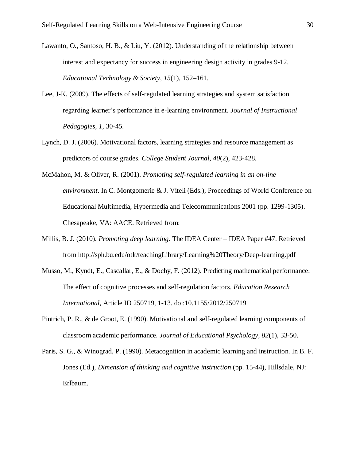- Lawanto, O., Santoso, H. B., & Liu, Y. (2012). Understanding of the relationship between interest and expectancy for success in engineering design activity in grades 9-12. *Educational Technology & Society*, *15*(1), 152–161.
- Lee, J-K. (2009). The effects of self-regulated learning strategies and system satisfaction regarding learner's performance in e-learning environment. *Journal of Instructional Pedagogies*, *1*, 30-45.
- Lynch, D. J. (2006). Motivational factors, learning strategies and resource management as predictors of course grades. *College Student Journal, 40*(2), 423-428.
- McMahon, M. & Oliver, R. (2001). *Promoting self-regulated learning in an on-line environment*. In C. Montgomerie & J. Viteli (Eds.), Proceedings of World Conference on Educational Multimedia, Hypermedia and Telecommunications 2001 (pp. 1299-1305). Chesapeake, VA: AACE. Retrieved from:
- Millis, B. J. (2010). *Promoting deep learning*. The IDEA Center IDEA Paper #47. Retrieved from http://sph.bu.edu/otlt/teachingLibrary/Learning%20Theory/Deep-learning.pdf
- Musso, M., Kyndt, E., Cascallar, E., & Dochy, F. (2012). Predicting mathematical performance: The effect of cognitive processes and self-regulation factors. *Education Research International*, Article ID 250719, 1-13. doi:10.1155/2012/250719
- Pintrich, P. R., & de Groot, E. (1990). Motivational and self-regulated learning components of classroom academic performance. *Journal of Educational Psychology, 82*(1), 33-50.
- Paris, S. G., & Winograd, P. (1990). Metacognition in academic learning and instruction. In B. F. Jones (Ed.), *Dimension of thinking and cognitive instruction* (pp. 15-44), Hillsdale, NJ: Erlbaum.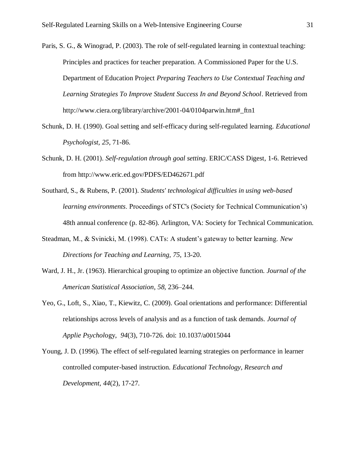- Paris, S. G., & Winograd, P. (2003). The role of self-regulated learning in contextual teaching: Principles and practices for teacher preparation. A Commissioned Paper for the U.S. Department of Education Project *Preparing Teachers to Use Contextual Teaching and Learning Strategies To Improve Student Success In and Beyond School*. Retrieved from http://www.ciera.org/library/archive/2001-04/0104parwin.htm#\_ftn1
- Schunk, D. H. (1990). Goal setting and self-efficacy during self-regulated learning. *Educational Psychologist, 25*, 71-86.
- Schunk, D. H. (2001). *Self-regulation through goal setting*. ERIC/CASS Digest, 1-6. Retrieved from http://www.eric.ed.gov/PDFS/ED462671.pdf
- Southard, S., & Rubens, P. (2001). *Students' technological difficulties in using web-based learning environments*. Proceedings of STC's (Society for Technical Communication's) 48th annual conference (p. 82-86). Arlington, VA: Society for Technical Communication.
- Steadman, M., & Svinicki, M. (1998). CATs: A student's gateway to better learning. *New Directions for Teaching and Learning, 75*, 13-20.
- Ward, J. H., Jr. (1963). Hierarchical grouping to optimize an objective function. *Journal of the American Statistical Association*, *58*, 236–244.
- Yeo, G., Loft, S., Xiao, T., Kiewitz, C. (2009). Goal orientations and performance: Differential relationships across levels of analysis and as a function of task demands. *Journal of Applie Psychol*ogy, *94*(3), 710-726. doi: 10.1037/a0015044
- Young, J. D. (1996). The effect of self-regulated learning strategies on performance in learner controlled computer-based instruction. *Educational Technology, Research and Development*, *44*(2), 17-27.